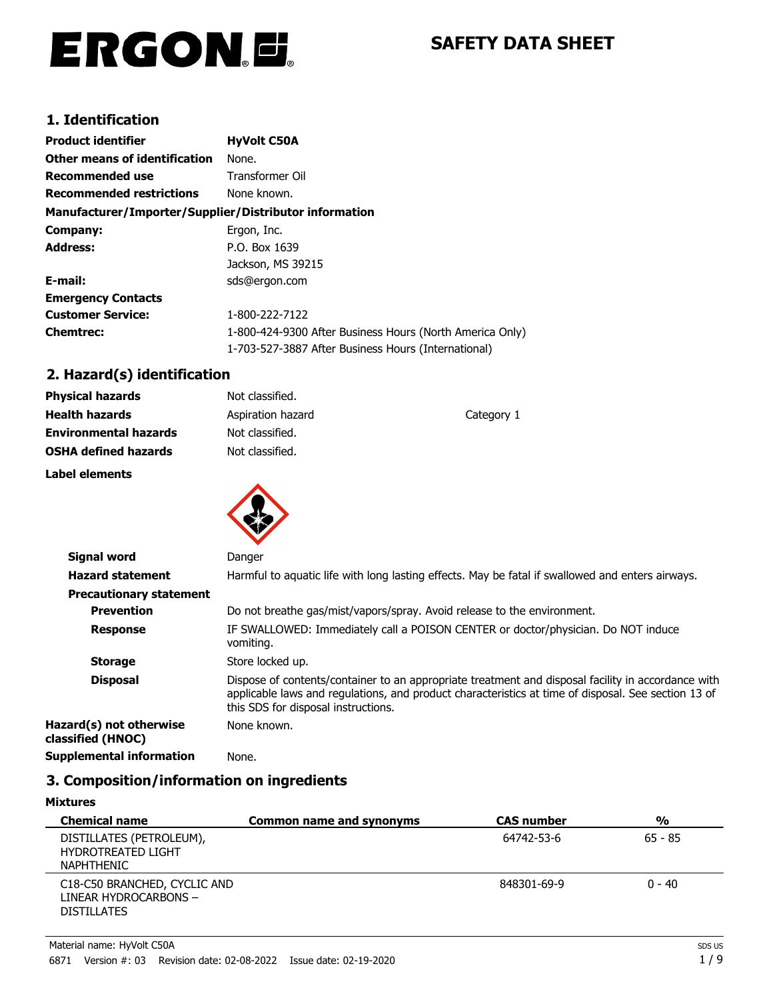# ERGON.E.

# **SAFETY DATA SHEET**

# **1. Identification**

| <b>Product identifier</b>                              | <b>HyVolt C50A</b>                                       |
|--------------------------------------------------------|----------------------------------------------------------|
| <b>Other means of identification</b>                   | None.                                                    |
| Recommended use                                        | <b>Transformer Oil</b>                                   |
| <b>Recommended restrictions</b>                        | None known.                                              |
| Manufacturer/Importer/Supplier/Distributor information |                                                          |
| Company:                                               | Ergon, Inc.                                              |
| <b>Address:</b>                                        | P.O. Box 1639                                            |
|                                                        | Jackson, MS 39215                                        |
| E-mail:                                                | sds@ergon.com                                            |
| <b>Emergency Contacts</b>                              |                                                          |
| <b>Customer Service:</b>                               | 1-800-222-7122                                           |
| <b>Chemtrec:</b>                                       | 1-800-424-9300 After Business Hours (North America Only) |
|                                                        | 1-703-527-3887 After Business Hours (International)      |

# **2. Hazard(s) identification**

| <b>Physical hazards</b>      | Not classified.   |            |
|------------------------------|-------------------|------------|
| <b>Health hazards</b>        | Aspiration hazard | Category 1 |
| <b>Environmental hazards</b> | Not classified.   |            |
| <b>OSHA defined hazards</b>  | Not classified.   |            |
| Label elements               |                   |            |
|                              |                   |            |



| Signal word                                  | Danger                                                                                                                                                                                                                                           |
|----------------------------------------------|--------------------------------------------------------------------------------------------------------------------------------------------------------------------------------------------------------------------------------------------------|
| <b>Hazard statement</b>                      | Harmful to aquatic life with long lasting effects. May be fatal if swallowed and enters airways.                                                                                                                                                 |
| <b>Precautionary statement</b>               |                                                                                                                                                                                                                                                  |
| <b>Prevention</b>                            | Do not breathe gas/mist/vapors/spray. Avoid release to the environment.                                                                                                                                                                          |
| <b>Response</b>                              | IF SWALLOWED: Immediately call a POISON CENTER or doctor/physician. Do NOT induce<br>vomiting.                                                                                                                                                   |
| <b>Storage</b>                               | Store locked up.                                                                                                                                                                                                                                 |
| <b>Disposal</b>                              | Dispose of contents/container to an appropriate treatment and disposal facility in accordance with<br>applicable laws and regulations, and product characteristics at time of disposal. See section 13 of<br>this SDS for disposal instructions. |
| Hazard(s) not otherwise<br>classified (HNOC) | None known.                                                                                                                                                                                                                                      |
| <b>Supplemental information</b>              | None.                                                                                                                                                                                                                                            |

# **3. Composition/information on ingredients**

**Mixtures**

| <b>Chemical name</b>                                                        | Common name and synonyms | <b>CAS number</b> | $\frac{0}{0}$ |
|-----------------------------------------------------------------------------|--------------------------|-------------------|---------------|
| DISTILLATES (PETROLEUM),<br><b>HYDROTREATED LIGHT</b><br><b>NAPHTHENIC</b>  |                          | 64742-53-6        | $65 - 85$     |
| C18-C50 BRANCHED, CYCLIC AND<br>LINEAR HYDROCARBONS -<br><b>DISTILLATES</b> |                          | 848301-69-9       | $0 - 40$      |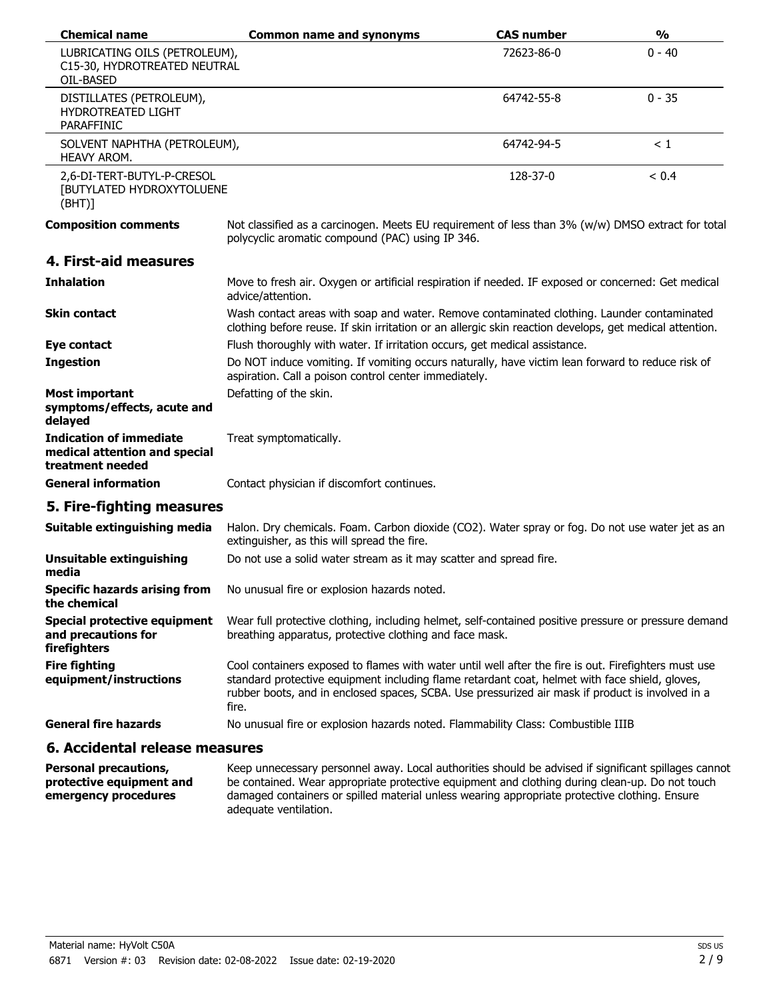| <b>Chemical name</b>                                                                | <b>Common name and synonyms</b>                                                                                                                                                                                                                                                                                     | <b>CAS number</b> | $\frac{0}{0}$ |
|-------------------------------------------------------------------------------------|---------------------------------------------------------------------------------------------------------------------------------------------------------------------------------------------------------------------------------------------------------------------------------------------------------------------|-------------------|---------------|
| LUBRICATING OILS (PETROLEUM),<br>C15-30, HYDROTREATED NEUTRAL<br>OIL-BASED          |                                                                                                                                                                                                                                                                                                                     | 72623-86-0        | $0 - 40$      |
| DISTILLATES (PETROLEUM),<br><b>HYDROTREATED LIGHT</b><br>PARAFFINIC                 |                                                                                                                                                                                                                                                                                                                     | 64742-55-8        | $0 - 35$      |
| SOLVENT NAPHTHA (PETROLEUM),<br>HEAVY AROM.                                         |                                                                                                                                                                                                                                                                                                                     | 64742-94-5        | < 1           |
| 2,6-DI-TERT-BUTYL-P-CRESOL<br>[BUTYLATED HYDROXYTOLUENE<br>(BHT)]                   |                                                                                                                                                                                                                                                                                                                     | 128-37-0          | < 0.4         |
| <b>Composition comments</b>                                                         | Not classified as a carcinogen. Meets EU requirement of less than 3% (w/w) DMSO extract for total<br>polycyclic aromatic compound (PAC) using IP 346.                                                                                                                                                               |                   |               |
| 4. First-aid measures                                                               |                                                                                                                                                                                                                                                                                                                     |                   |               |
| <b>Inhalation</b>                                                                   | Move to fresh air. Oxygen or artificial respiration if needed. IF exposed or concerned: Get medical<br>advice/attention.                                                                                                                                                                                            |                   |               |
| <b>Skin contact</b>                                                                 | Wash contact areas with soap and water. Remove contaminated clothing. Launder contaminated<br>clothing before reuse. If skin irritation or an allergic skin reaction develops, get medical attention.                                                                                                               |                   |               |
| <b>Eye contact</b>                                                                  | Flush thoroughly with water. If irritation occurs, get medical assistance.                                                                                                                                                                                                                                          |                   |               |
| <b>Ingestion</b>                                                                    | Do NOT induce vomiting. If vomiting occurs naturally, have victim lean forward to reduce risk of<br>aspiration. Call a poison control center immediately.                                                                                                                                                           |                   |               |
| <b>Most important</b><br>symptoms/effects, acute and<br>delayed                     | Defatting of the skin.                                                                                                                                                                                                                                                                                              |                   |               |
| <b>Indication of immediate</b><br>medical attention and special<br>treatment needed | Treat symptomatically.                                                                                                                                                                                                                                                                                              |                   |               |
| <b>General information</b>                                                          | Contact physician if discomfort continues.                                                                                                                                                                                                                                                                          |                   |               |
| 5. Fire-fighting measures                                                           |                                                                                                                                                                                                                                                                                                                     |                   |               |
| Suitable extinguishing media                                                        | Halon. Dry chemicals. Foam. Carbon dioxide (CO2). Water spray or fog. Do not use water jet as an<br>extinguisher, as this will spread the fire.                                                                                                                                                                     |                   |               |
| <b>Unsuitable extinguishing</b><br>media                                            | Do not use a solid water stream as it may scatter and spread fire.                                                                                                                                                                                                                                                  |                   |               |
| <b>Specific hazards arising from</b><br>the chemical                                | No unusual fire or explosion hazards noted.                                                                                                                                                                                                                                                                         |                   |               |
| <b>Special protective equipment</b><br>and precautions for<br>firefighters          | Wear full protective clothing, including helmet, self-contained positive pressure or pressure demand<br>breathing apparatus, protective clothing and face mask.                                                                                                                                                     |                   |               |
| <b>Fire fighting</b><br>equipment/instructions                                      | Cool containers exposed to flames with water until well after the fire is out. Firefighters must use<br>standard protective equipment including flame retardant coat, helmet with face shield, gloves,<br>rubber boots, and in enclosed spaces, SCBA. Use pressurized air mask if product is involved in a<br>fire. |                   |               |
| <b>General fire hazards</b>                                                         | No unusual fire or explosion hazards noted. Flammability Class: Combustible IIIB                                                                                                                                                                                                                                    |                   |               |
| 6. Accidental release measures                                                      |                                                                                                                                                                                                                                                                                                                     |                   |               |

| <b>Personal precautions,</b> | Keep unnecessary personnel away. Local authorities should be advised if significant spillages cannot |
|------------------------------|------------------------------------------------------------------------------------------------------|
| protective equipment and     | be contained. Wear appropriate protective equipment and clothing during clean-up. Do not touch       |
| emergency procedures         | damaged containers or spilled material unless wearing appropriate protective clothing. Ensure        |
|                              | adequate ventilation.                                                                                |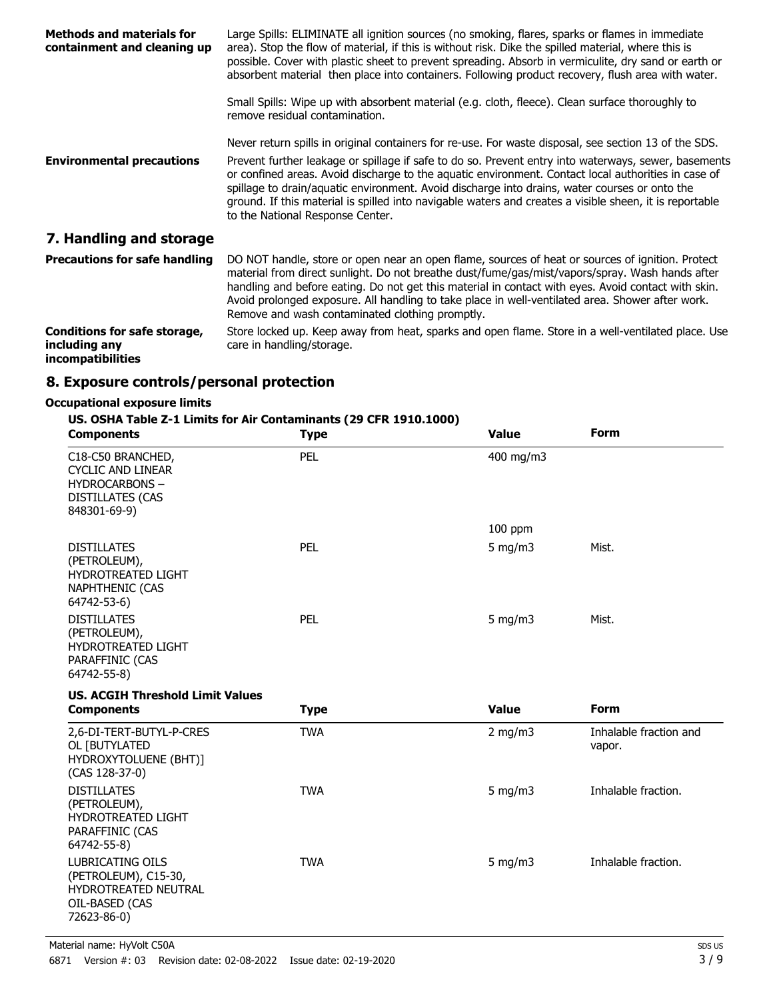| <b>Methods and materials for</b><br>containment and cleaning up                  | Large Spills: ELIMINATE all ignition sources (no smoking, flares, sparks or flames in immediate<br>area). Stop the flow of material, if this is without risk. Dike the spilled material, where this is<br>possible. Cover with plastic sheet to prevent spreading. Absorb in vermiculite, dry sand or earth or<br>absorbent material then place into containers. Following product recovery, flush area with water.                                               |
|----------------------------------------------------------------------------------|-------------------------------------------------------------------------------------------------------------------------------------------------------------------------------------------------------------------------------------------------------------------------------------------------------------------------------------------------------------------------------------------------------------------------------------------------------------------|
|                                                                                  | Small Spills: Wipe up with absorbent material (e.g. cloth, fleece). Clean surface thoroughly to<br>remove residual contamination.                                                                                                                                                                                                                                                                                                                                 |
|                                                                                  | Never return spills in original containers for re-use. For waste disposal, see section 13 of the SDS.                                                                                                                                                                                                                                                                                                                                                             |
| <b>Environmental precautions</b>                                                 | Prevent further leakage or spillage if safe to do so. Prevent entry into waterways, sewer, basements<br>or confined areas. Avoid discharge to the aquatic environment. Contact local authorities in case of<br>spillage to drain/aquatic environment. Avoid discharge into drains, water courses or onto the<br>ground. If this material is spilled into navigable waters and creates a visible sheen, it is reportable<br>to the National Response Center.       |
| 7. Handling and storage                                                          |                                                                                                                                                                                                                                                                                                                                                                                                                                                                   |
| <b>Precautions for safe handling</b>                                             | DO NOT handle, store or open near an open flame, sources of heat or sources of ignition. Protect<br>material from direct sunlight. Do not breathe dust/fume/gas/mist/vapors/spray. Wash hands after<br>handling and before eating. Do not get this material in contact with eyes. Avoid contact with skin.<br>Avoid prolonged exposure. All handling to take place in well-ventilated area. Shower after work.<br>Remove and wash contaminated clothing promptly. |
| <b>Conditions for safe storage,</b><br>including any<br><i>incompatibilities</i> | Store locked up. Keep away from heat, sparks and open flame. Store in a well-ventilated place. Use<br>care in handling/storage.                                                                                                                                                                                                                                                                                                                                   |

## **8. Exposure controls/personal protection**

## **Occupational exposure limits**

## **US. OSHA Table Z-1 Limits for Air Contaminants (29 CFR 1910.1000)**

| <b>Components</b>                                                                                         | <b>Type</b> | <b>Value</b> | <b>Form</b>                      |
|-----------------------------------------------------------------------------------------------------------|-------------|--------------|----------------------------------|
| C18-C50 BRANCHED,<br><b>CYCLIC AND LINEAR</b><br><b>HYDROCARBONS-</b><br>DISTILLATES (CAS<br>848301-69-9) | PEL         | 400 mg/m3    |                                  |
|                                                                                                           |             | $100$ ppm    |                                  |
| <b>DISTILLATES</b><br>(PETROLEUM),<br><b>HYDROTREATED LIGHT</b><br>NAPHTHENIC (CAS<br>64742-53-6)         | PEL         | 5 mg/m $3$   | Mist.                            |
| <b>DISTILLATES</b><br>(PETROLEUM),<br>HYDROTREATED LIGHT<br>PARAFFINIC (CAS<br>64742-55-8)                | PEL         | $5$ mg/m $3$ | Mist.                            |
|                                                                                                           |             |              |                                  |
| <b>US. ACGIH Threshold Limit Values</b>                                                                   |             |              |                                  |
| <b>Components</b>                                                                                         | <b>Type</b> | <b>Value</b> | <b>Form</b>                      |
| 2,6-DI-TERT-BUTYL-P-CRES<br>OL [BUTYLATED<br>HYDROXYTOLUENE (BHT)]<br>$(CAS 128-37-0)$                    | <b>TWA</b>  | $2$ mg/m $3$ | Inhalable fraction and<br>vapor. |
| <b>DISTILLATES</b><br>(PETROLEUM),<br>HYDROTREATED LIGHT<br>PARAFFINIC (CAS<br>64742-55-8)                | <b>TWA</b>  | $5$ mg/m $3$ | Inhalable fraction.              |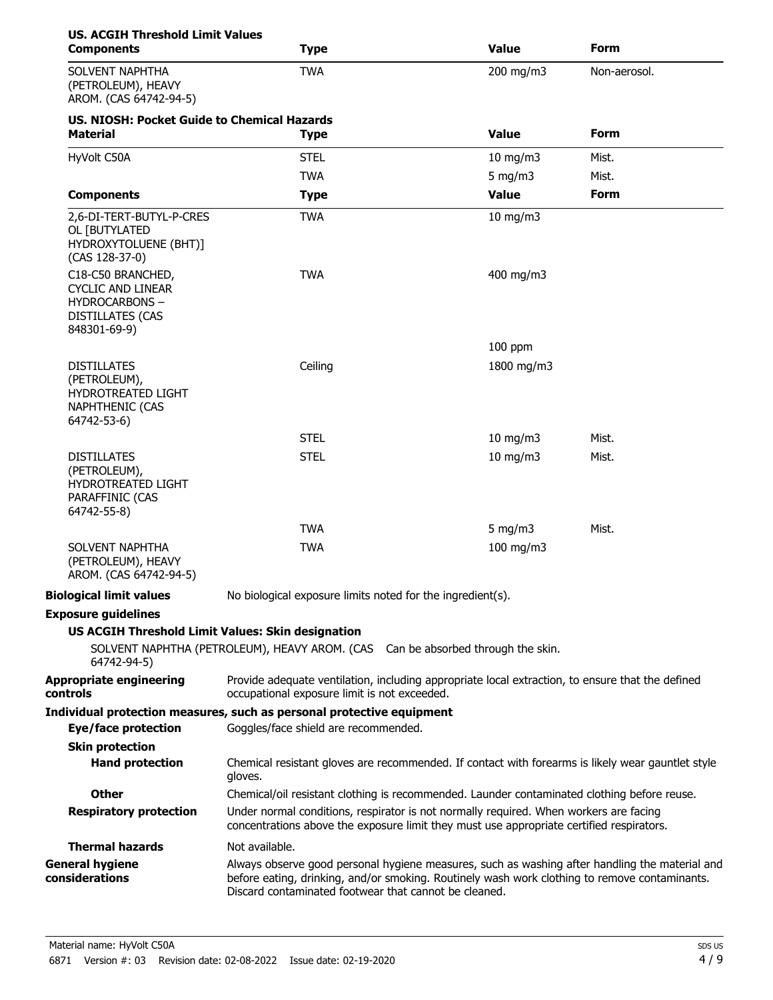| <b>US. ACGIH Threshold Limit Values</b><br><b>Components</b>                                                     | <b>Type</b>                                                                                                                                                                                                                                              | <b>Value</b>                      | <b>Form</b>  |
|------------------------------------------------------------------------------------------------------------------|----------------------------------------------------------------------------------------------------------------------------------------------------------------------------------------------------------------------------------------------------------|-----------------------------------|--------------|
| SOLVENT NAPHTHA<br>(PETROLEUM), HEAVY<br>AROM. (CAS 64742-94-5)                                                  | <b>TWA</b>                                                                                                                                                                                                                                               | 200 mg/m3                         | Non-aerosol. |
| <b>US. NIOSH: Pocket Guide to Chemical Hazards</b><br><b>Material</b>                                            | <b>Type</b>                                                                                                                                                                                                                                              | <b>Value</b>                      | <b>Form</b>  |
| HyVolt C50A                                                                                                      | <b>STEL</b>                                                                                                                                                                                                                                              | $10$ mg/m $3$                     | Mist.        |
|                                                                                                                  | <b>TWA</b>                                                                                                                                                                                                                                               | 5 mg/m $3$                        | Mist.        |
| <b>Components</b>                                                                                                | <b>Type</b>                                                                                                                                                                                                                                              | <b>Value</b>                      | Form         |
| 2,6-DI-TERT-BUTYL-P-CRES<br>OL [BUTYLATED<br>HYDROXYTOLUENE (BHT)]<br>(CAS 128-37-0)                             | <b>TWA</b>                                                                                                                                                                                                                                               | $10$ mg/m $3$                     |              |
| C18-C50 BRANCHED,<br><b>CYCLIC AND LINEAR</b><br><b>HYDROCARBONS-</b><br><b>DISTILLATES (CAS</b><br>848301-69-9) | <b>TWA</b>                                                                                                                                                                                                                                               | 400 mg/m3                         |              |
|                                                                                                                  |                                                                                                                                                                                                                                                          | $100$ ppm                         |              |
| <b>DISTILLATES</b><br>(PETROLEUM),<br>HYDROTREATED LIGHT<br><b>NAPHTHENIC (CAS</b><br>64742-53-6)                | Ceiling                                                                                                                                                                                                                                                  | 1800 mg/m3                        |              |
|                                                                                                                  | <b>STEL</b>                                                                                                                                                                                                                                              | $10$ mg/m $3$                     | Mist.        |
| <b>DISTILLATES</b><br>(PETROLEUM),<br>HYDROTREATED LIGHT<br>PARAFFINIC (CAS<br>64742-55-8)                       | <b>STEL</b>                                                                                                                                                                                                                                              | $10$ mg/m $3$                     | Mist.        |
|                                                                                                                  | <b>TWA</b>                                                                                                                                                                                                                                               | 5 mg/m $3$                        | Mist.        |
| SOLVENT NAPHTHA<br>(PETROLEUM), HEAVY<br>AROM. (CAS 64742-94-5)                                                  | <b>TWA</b>                                                                                                                                                                                                                                               | 100 mg/m3                         |              |
| <b>Biological limit values</b>                                                                                   | No biological exposure limits noted for the ingredient(s).                                                                                                                                                                                               |                                   |              |
| <b>Exposure guidelines</b>                                                                                       |                                                                                                                                                                                                                                                          |                                   |              |
| <b>US ACGIH Threshold Limit Values: Skin designation</b>                                                         |                                                                                                                                                                                                                                                          |                                   |              |
| 64742-94-5)                                                                                                      | SOLVENT NAPHTHA (PETROLEUM), HEAVY AROM. (CAS                                                                                                                                                                                                            | Can be absorbed through the skin. |              |
| <b>Appropriate engineering</b><br><b>controls</b>                                                                | Provide adequate ventilation, including appropriate local extraction, to ensure that the defined<br>occupational exposure limit is not exceeded.                                                                                                         |                                   |              |
| Eye/face protection                                                                                              | Individual protection measures, such as personal protective equipment<br>Goggles/face shield are recommended.                                                                                                                                            |                                   |              |
| <b>Skin protection</b>                                                                                           |                                                                                                                                                                                                                                                          |                                   |              |
| <b>Hand protection</b>                                                                                           | Chemical resistant gloves are recommended. If contact with forearms is likely wear gauntlet style<br>gloves.                                                                                                                                             |                                   |              |
| <b>Other</b>                                                                                                     | Chemical/oil resistant clothing is recommended. Launder contaminated clothing before reuse.                                                                                                                                                              |                                   |              |
| <b>Respiratory protection</b>                                                                                    | Under normal conditions, respirator is not normally required. When workers are facing<br>concentrations above the exposure limit they must use appropriate certified respirators.                                                                        |                                   |              |
| <b>Thermal hazards</b>                                                                                           | Not available.                                                                                                                                                                                                                                           |                                   |              |
| <b>General hygiene</b><br>considerations                                                                         | Always observe good personal hygiene measures, such as washing after handling the material and<br>before eating, drinking, and/or smoking. Routinely wash work clothing to remove contaminants.<br>Discard contaminated footwear that cannot be cleaned. |                                   |              |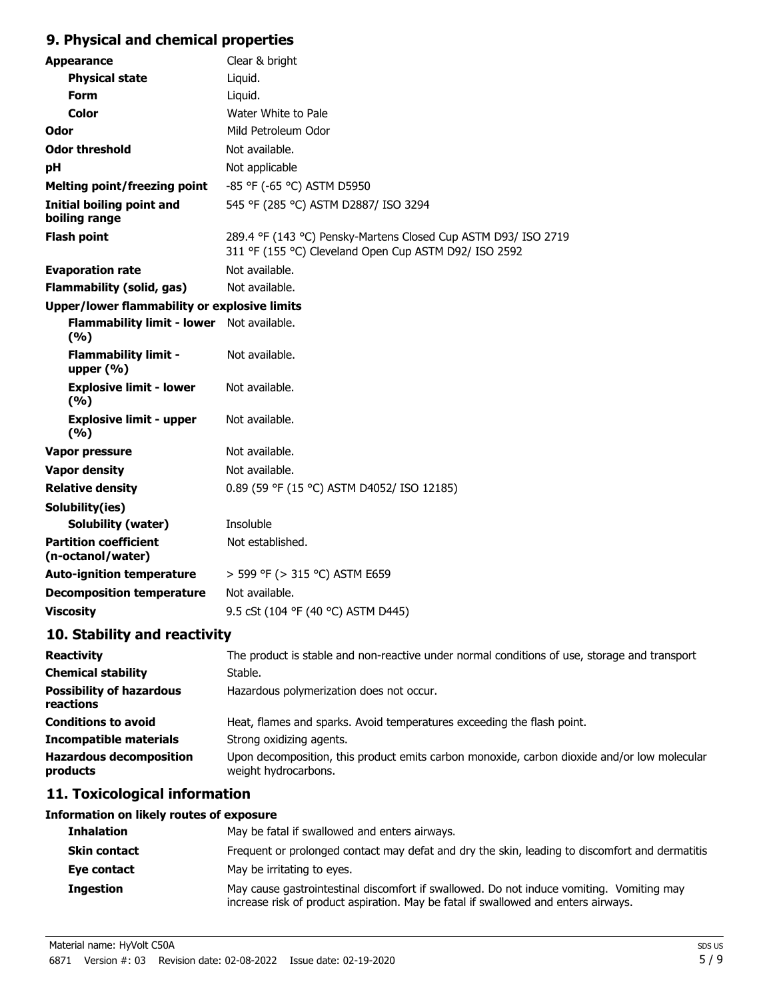# **9. Physical and chemical properties**

| <b>Appearance</b>                                   | Clear & bright                                                                                                          |
|-----------------------------------------------------|-------------------------------------------------------------------------------------------------------------------------|
| <b>Physical state</b>                               | Liquid.                                                                                                                 |
| <b>Form</b>                                         | Liquid.                                                                                                                 |
| <b>Color</b>                                        | Water White to Pale                                                                                                     |
| Odor                                                | Mild Petroleum Odor                                                                                                     |
| <b>Odor threshold</b>                               | Not available.                                                                                                          |
| рH                                                  | Not applicable                                                                                                          |
| <b>Melting point/freezing point</b>                 | -85 °F (-65 °C) ASTM D5950                                                                                              |
| Initial boiling point and<br>boiling range          | 545 °F (285 °C) ASTM D2887/ ISO 3294                                                                                    |
| <b>Flash point</b>                                  | 289.4 °F (143 °C) Pensky-Martens Closed Cup ASTM D93/ ISO 2719<br>311 °F (155 °C) Cleveland Open Cup ASTM D92/ ISO 2592 |
| <b>Evaporation rate</b>                             | Not available.                                                                                                          |
| <b>Flammability (solid, gas)</b>                    | Not available.                                                                                                          |
| <b>Upper/lower flammability or explosive limits</b> |                                                                                                                         |
| Flammability limit - lower Not available.<br>(%)    |                                                                                                                         |
| <b>Flammability limit -</b><br>upper $(\% )$        | Not available.                                                                                                          |
| <b>Explosive limit - lower</b><br>(9/6)             | Not available.                                                                                                          |
| <b>Explosive limit - upper</b><br>(9/6)             | Not available.                                                                                                          |
| Vapor pressure                                      | Not available.                                                                                                          |
| <b>Vapor density</b>                                | Not available.                                                                                                          |
| <b>Relative density</b>                             | 0.89 (59 °F (15 °C) ASTM D4052/ ISO 12185)                                                                              |
| Solubility(ies)                                     |                                                                                                                         |
| <b>Solubility (water)</b>                           | Insoluble                                                                                                               |
| <b>Partition coefficient</b><br>(n-octanol/water)   | Not established.                                                                                                        |
| <b>Auto-ignition temperature</b>                    | > 599 °F (> 315 °C) ASTM E659                                                                                           |
| <b>Decomposition temperature</b>                    | Not available.                                                                                                          |
| <b>Viscosity</b>                                    | 9.5 cSt (104 °F (40 °C) ASTM D445)                                                                                      |

# **10. Stability and reactivity**

| <b>Reactivity</b>                            | The product is stable and non-reactive under normal conditions of use, storage and transport                        |
|----------------------------------------------|---------------------------------------------------------------------------------------------------------------------|
| <b>Chemical stability</b>                    | Stable.                                                                                                             |
| <b>Possibility of hazardous</b><br>reactions | Hazardous polymerization does not occur.                                                                            |
| <b>Conditions to avoid</b>                   | Heat, flames and sparks. Avoid temperatures exceeding the flash point.                                              |
| <b>Incompatible materials</b>                | Strong oxidizing agents.                                                                                            |
| <b>Hazardous decomposition</b><br>products   | Upon decomposition, this product emits carbon monoxide, carbon dioxide and/or low molecular<br>weight hydrocarbons. |

# **11. Toxicological information**

## **Information on likely routes of exposure**

| <b>Inhalation</b>   | May be fatal if swallowed and enters airways.                                                                                                                                  |
|---------------------|--------------------------------------------------------------------------------------------------------------------------------------------------------------------------------|
| <b>Skin contact</b> | Frequent or prolonged contact may defat and dry the skin, leading to discomfort and dermatitis                                                                                 |
| Eye contact         | May be irritating to eyes.                                                                                                                                                     |
| <b>Ingestion</b>    | May cause gastrointestinal discomfort if swallowed. Do not induce vomiting. Vomiting may<br>increase risk of product aspiration. May be fatal if swallowed and enters airways. |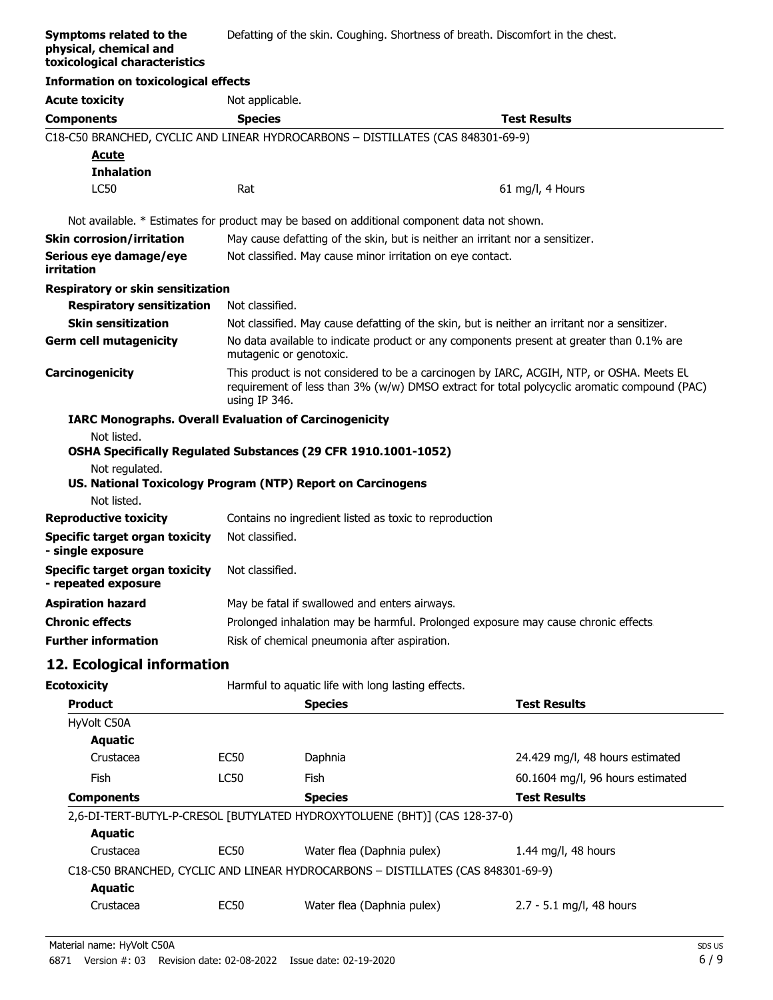#### **Symptoms related to the physical, chemical and toxicological characteristics** Defatting of the skin. Coughing. Shortness of breath. Discomfort in the chest.

| <b>Information on toxicological effects</b>                  |                                                                                                                     |                                                                                             |
|--------------------------------------------------------------|---------------------------------------------------------------------------------------------------------------------|---------------------------------------------------------------------------------------------|
| <b>Acute toxicity</b>                                        | Not applicable.                                                                                                     |                                                                                             |
| <b>Components</b>                                            | <b>Species</b>                                                                                                      | <b>Test Results</b>                                                                         |
|                                                              | C18-C50 BRANCHED, CYCLIC AND LINEAR HYDROCARBONS - DISTILLATES (CAS 848301-69-9)                                    |                                                                                             |
| Acute                                                        |                                                                                                                     |                                                                                             |
| <b>Inhalation</b>                                            |                                                                                                                     |                                                                                             |
| <b>LC50</b>                                                  | Rat                                                                                                                 | 61 mg/l, 4 Hours                                                                            |
|                                                              | Not available. * Estimates for product may be based on additional component data not shown.                         |                                                                                             |
| <b>Skin corrosion/irritation</b>                             | May cause defatting of the skin, but is neither an irritant nor a sensitizer.                                       |                                                                                             |
| Serious eye damage/eye<br>irritation                         | Not classified. May cause minor irritation on eye contact.                                                          |                                                                                             |
| <b>Respiratory or skin sensitization</b>                     |                                                                                                                     |                                                                                             |
| <b>Respiratory sensitization</b>                             | Not classified.                                                                                                     |                                                                                             |
| <b>Skin sensitization</b>                                    | Not classified. May cause defatting of the skin, but is neither an irritant nor a sensitizer.                       |                                                                                             |
| <b>Germ cell mutagenicity</b>                                | No data available to indicate product or any components present at greater than 0.1% are<br>mutagenic or genotoxic. |                                                                                             |
| Carcinogenicity                                              | This product is not considered to be a carcinogen by IARC, ACGIH, NTP, or OSHA. Meets EL<br>using IP 346.           | requirement of less than 3% (w/w) DMSO extract for total polycyclic aromatic compound (PAC) |
|                                                              | <b>IARC Monographs. Overall Evaluation of Carcinogenicity</b>                                                       |                                                                                             |
| Not listed.                                                  |                                                                                                                     |                                                                                             |
|                                                              | OSHA Specifically Regulated Substances (29 CFR 1910.1001-1052)                                                      |                                                                                             |
| Not regulated.                                               | US. National Toxicology Program (NTP) Report on Carcinogens                                                         |                                                                                             |
| Not listed.                                                  |                                                                                                                     |                                                                                             |
| <b>Reproductive toxicity</b>                                 | Contains no ingredient listed as toxic to reproduction                                                              |                                                                                             |
| <b>Specific target organ toxicity</b><br>- single exposure   | Not classified.                                                                                                     |                                                                                             |
| <b>Specific target organ toxicity</b><br>- repeated exposure | Not classified.                                                                                                     |                                                                                             |
| <b>Aspiration hazard</b>                                     | May be fatal if swallowed and enters airways.                                                                       |                                                                                             |
| <b>Chronic effects</b>                                       | Prolonged inhalation may be harmful. Prolonged exposure may cause chronic effects                                   |                                                                                             |
| <b>Further information</b>                                   | Risk of chemical pneumonia after aspiration.                                                                        |                                                                                             |
| 12. Ecological information                                   |                                                                                                                     |                                                                                             |

| Ecotoxicity       |             | Harmful to aquatic life with long lasting effects.                               |                                  |
|-------------------|-------------|----------------------------------------------------------------------------------|----------------------------------|
| <b>Product</b>    |             | <b>Species</b>                                                                   | <b>Test Results</b>              |
| HyVolt C50A       |             |                                                                                  |                                  |
| Aquatic           |             |                                                                                  |                                  |
| Crustacea         | <b>EC50</b> | Daphnia                                                                          | 24.429 mg/l, 48 hours estimated  |
| <b>Fish</b>       | LC50        | Fish                                                                             | 60.1604 mg/l, 96 hours estimated |
| <b>Components</b> |             | <b>Species</b>                                                                   | <b>Test Results</b>              |
|                   |             | 2,6-DI-TERT-BUTYL-P-CRESOL [BUTYLATED HYDROXYTOLUENE (BHT)] (CAS 128-37-0)       |                                  |
| Aquatic           |             |                                                                                  |                                  |
| Crustacea         | <b>EC50</b> | Water flea (Daphnia pulex)                                                       | 1.44 mg/l, 48 hours              |
|                   |             | C18-C50 BRANCHED, CYCLIC AND LINEAR HYDROCARBONS - DISTILLATES (CAS 848301-69-9) |                                  |
| Aquatic           |             |                                                                                  |                                  |
| Crustacea         | <b>EC50</b> | Water flea (Daphnia pulex)                                                       | 2.7 - 5.1 mg/l, 48 hours         |
|                   |             |                                                                                  |                                  |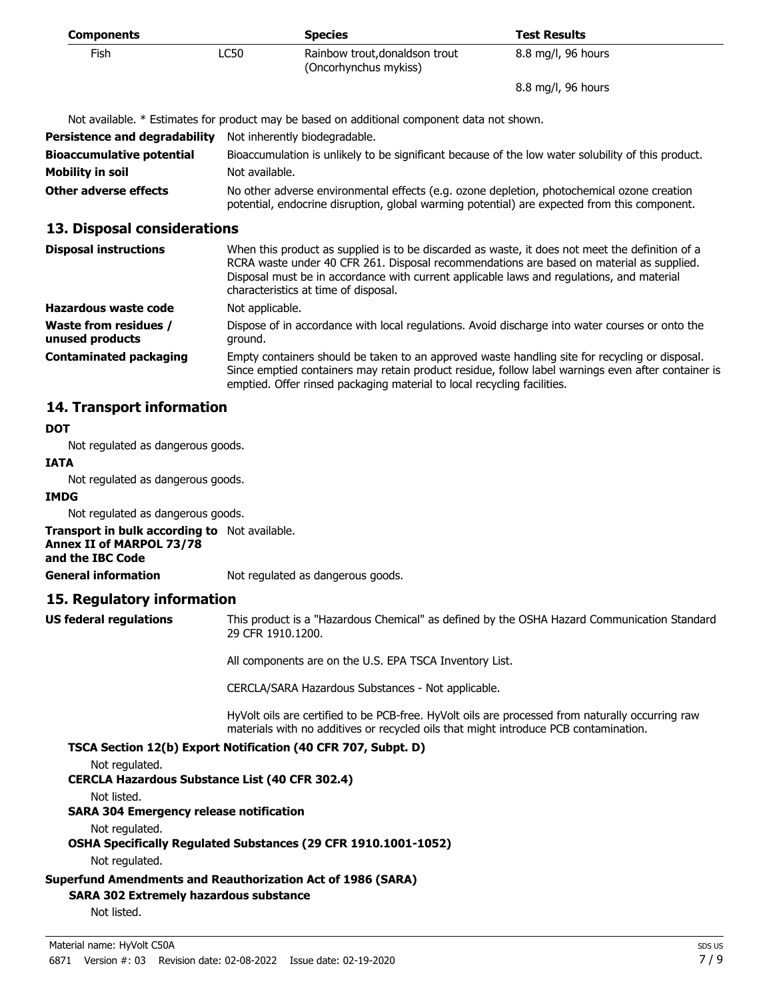| <b>Components</b>                        |                                                                                                                                                                                            | <b>Species</b>                                                                                                                                                                                                                                                                                                                   | <b>Test Results</b>                                                                                |
|------------------------------------------|--------------------------------------------------------------------------------------------------------------------------------------------------------------------------------------------|----------------------------------------------------------------------------------------------------------------------------------------------------------------------------------------------------------------------------------------------------------------------------------------------------------------------------------|----------------------------------------------------------------------------------------------------|
| <b>Fish</b>                              | <b>LC50</b>                                                                                                                                                                                | Rainbow trout, donaldson trout<br>(Oncorhynchus mykiss)                                                                                                                                                                                                                                                                          | 8.8 mg/l, 96 hours                                                                                 |
|                                          |                                                                                                                                                                                            |                                                                                                                                                                                                                                                                                                                                  | 8.8 mg/l, 96 hours                                                                                 |
|                                          |                                                                                                                                                                                            | Not available. * Estimates for product may be based on additional component data not shown.                                                                                                                                                                                                                                      |                                                                                                    |
| <b>Persistence and degradability</b>     |                                                                                                                                                                                            | Not inherently biodegradable.                                                                                                                                                                                                                                                                                                    |                                                                                                    |
| <b>Bioaccumulative potential</b>         |                                                                                                                                                                                            | Bioaccumulation is unlikely to be significant because of the low water solubility of this product.                                                                                                                                                                                                                               |                                                                                                    |
| <b>Mobility in soil</b>                  | Not available.                                                                                                                                                                             |                                                                                                                                                                                                                                                                                                                                  |                                                                                                    |
| Other adverse effects                    | No other adverse environmental effects (e.g. ozone depletion, photochemical ozone creation<br>potential, endocrine disruption, global warming potential) are expected from this component. |                                                                                                                                                                                                                                                                                                                                  |                                                                                                    |
| 13. Disposal considerations              |                                                                                                                                                                                            |                                                                                                                                                                                                                                                                                                                                  |                                                                                                    |
| <b>Disposal instructions</b>             |                                                                                                                                                                                            | When this product as supplied is to be discarded as waste, it does not meet the definition of a<br>RCRA waste under 40 CFR 261. Disposal recommendations are based on material as supplied.<br>Disposal must be in accordance with current applicable laws and regulations, and material<br>characteristics at time of disposal. |                                                                                                    |
| Hazardous waste code                     | Not applicable.                                                                                                                                                                            |                                                                                                                                                                                                                                                                                                                                  |                                                                                                    |
| Waste from residues /<br>unused products | ground.                                                                                                                                                                                    | Dispose of in accordance with local regulations. Avoid discharge into water courses or onto the                                                                                                                                                                                                                                  |                                                                                                    |
| <b>Contaminated packaging</b>            |                                                                                                                                                                                            | Empty containers should be taken to an approved waste handling site for recycling or disposal.<br>emptied. Offer rinsed packaging material to local recycling facilities.                                                                                                                                                        | Since emptied containers may retain product residue, follow label warnings even after container is |

## **14. Transport information**

## **DOT**

Not regulated as dangerous goods.

### **IATA**

Not regulated as dangerous goods.

## **IMDG**

Not regulated as dangerous goods.

**Transport in bulk according to** Not available. **Annex II of MARPOL 73/78 and the IBC Code**

**General information** Not regulated as dangerous goods.

## **15. Regulatory information**

**US federal regulations**

This product is a "Hazardous Chemical" as defined by the OSHA Hazard Communication Standard, 29 CFR 1910.1200.

All components are on the U.S. EPA TSCA Inventory List.

CERCLA/SARA Hazardous Substances - Not applicable.

HyVolt oils are certified to be PCB-free. HyVolt oils are processed from naturally occurring raw materials with no additives or recycled oils that might introduce PCB contamination.

## **TSCA Section 12(b) Export Notification (40 CFR 707, Subpt. D)**

Not regulated.

**CERCLA Hazardous Substance List (40 CFR 302.4)**

Not listed.

**SARA 304 Emergency release notification**

Not regulated.

**OSHA Specifically Regulated Substances (29 CFR 1910.1001-1052)**

Not regulated.

## **Superfund Amendments and Reauthorization Act of 1986 (SARA)**

## **SARA 302 Extremely hazardous substance**

Not listed.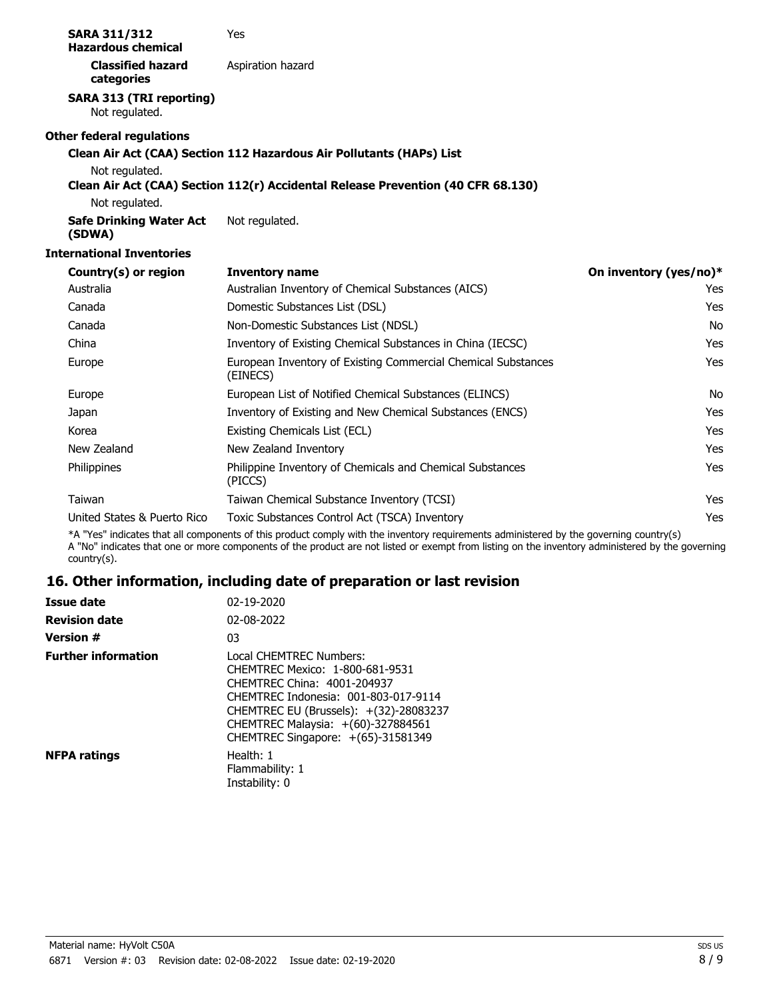| <b>SARA 311/312</b><br><b>Hazardous chemical</b>  | Yes                                                                                                                                    |                        |
|---------------------------------------------------|----------------------------------------------------------------------------------------------------------------------------------------|------------------------|
| <b>Classified hazard</b><br>categories            | Aspiration hazard                                                                                                                      |                        |
| <b>SARA 313 (TRI reporting)</b><br>Not regulated. |                                                                                                                                        |                        |
| <b>Other federal regulations</b>                  |                                                                                                                                        |                        |
|                                                   | Clean Air Act (CAA) Section 112 Hazardous Air Pollutants (HAPs) List                                                                   |                        |
| Not regulated.                                    | Clean Air Act (CAA) Section 112(r) Accidental Release Prevention (40 CFR 68.130)                                                       |                        |
| Not regulated.                                    |                                                                                                                                        |                        |
| <b>Safe Drinking Water Act</b><br>(SDWA)          | Not regulated.                                                                                                                         |                        |
| <b>International Inventories</b>                  |                                                                                                                                        |                        |
| Country(s) or region                              | <b>Inventory name</b>                                                                                                                  | On inventory (yes/no)* |
| Australia                                         | Australian Inventory of Chemical Substances (AICS)                                                                                     | Yes                    |
| Canada                                            | Domestic Substances List (DSL)                                                                                                         | Yes                    |
| Canada                                            | Non-Domestic Substances List (NDSL)                                                                                                    | No                     |
| China                                             | Inventory of Existing Chemical Substances in China (IECSC)                                                                             | <b>Yes</b>             |
| Europe                                            | European Inventory of Existing Commercial Chemical Substances<br>(EINECS)                                                              | Yes                    |
| Europe                                            | European List of Notified Chemical Substances (ELINCS)                                                                                 | <b>No</b>              |
| Japan                                             | Inventory of Existing and New Chemical Substances (ENCS)                                                                               | <b>Yes</b>             |
| Korea                                             | Existing Chemicals List (ECL)                                                                                                          | <b>Yes</b>             |
| New Zealand                                       | New Zealand Inventory                                                                                                                  | Yes                    |
| Philippines                                       | Philippine Inventory of Chemicals and Chemical Substances<br>(PICCS)                                                                   | Yes                    |
| Taiwan                                            | Taiwan Chemical Substance Inventory (TCSI)                                                                                             | Yes                    |
| United States & Puerto Rico                       | Toxic Substances Control Act (TSCA) Inventory                                                                                          | Yes                    |
|                                                   | *A "Yes" indicates that all components of this product comply with the inventory requirements administered by the governing country(s) |                        |

A "No" indicates that one or more components of the product are not listed or exempt from listing on the inventory administered by the governing country(s).

# **16. Other information, including date of preparation or last revision**

| <b>Issue date</b>          | 02-19-2020                                                                                                                                                                                                                                              |
|----------------------------|---------------------------------------------------------------------------------------------------------------------------------------------------------------------------------------------------------------------------------------------------------|
| <b>Revision date</b>       | 02-08-2022                                                                                                                                                                                                                                              |
| <b>Version #</b>           | 03                                                                                                                                                                                                                                                      |
| <b>Further information</b> | Local CHEMTREC Numbers:<br>CHEMTREC Mexico: 1-800-681-9531<br>CHEMTREC China: 4001-204937<br>CHEMTREC Indonesia: 001-803-017-9114<br>CHEMTREC EU (Brussels): +(32)-28083237<br>CHEMTREC Malaysia: +(60)-327884561<br>CHEMTREC Singapore: +(65)-31581349 |
| <b>NFPA ratings</b>        | Health: 1<br>Flammability: 1<br>Instability: 0                                                                                                                                                                                                          |